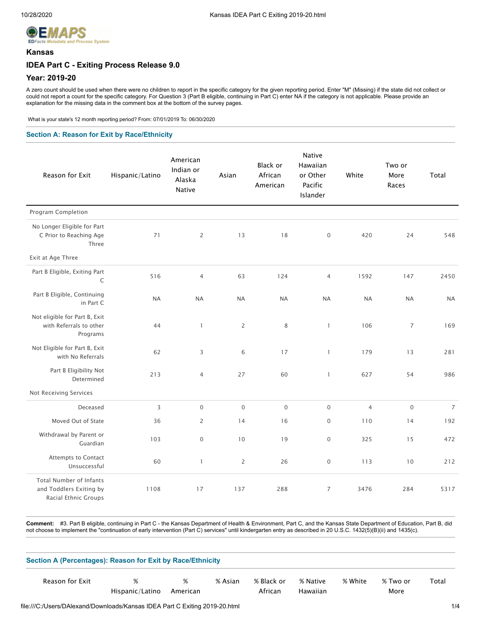

### **Kansas**

# **IDEA Part C - Exiting Process Release 9.0**

# **Year: 2019-20**

A zero count should be used when there were no children to report in the specific category for the given reporting period. Enter "M" (Missing) if the state did not collect or could not report a count for the specific category. For Question 3 (Part B eligible, continuing in Part C) enter NA if the category is not applicable. Please provide an explanation for the missing data in the comment box at the bottom of the survey pages.

What is your state's 12 month reporting period? From: 07/01/2019 To: 06/30/2020

## **Section A: Reason for Exit by Race/Ethnicity**

| Reason for Exit                                                                   | Hispanic/Latino | American<br>Indian or<br>Alaska<br><b>Native</b> | Asian          | Black or<br>African<br>American | <b>Native</b><br>Hawaiian<br>or Other<br>Pacific<br>Islander | White          | Two or<br>More<br>Races | Total          |
|-----------------------------------------------------------------------------------|-----------------|--------------------------------------------------|----------------|---------------------------------|--------------------------------------------------------------|----------------|-------------------------|----------------|
| Program Completion                                                                |                 |                                                  |                |                                 |                                                              |                |                         |                |
| No Longer Eligible for Part<br>C Prior to Reaching Age<br>Three                   | 71              | $\overline{2}$                                   | 13             | 18                              | $\boldsymbol{0}$                                             | 420            | 24                      | 548            |
| Exit at Age Three                                                                 |                 |                                                  |                |                                 |                                                              |                |                         |                |
| Part B Eligible, Exiting Part<br>$\mathsf C$                                      | 516             | $\overline{4}$                                   | 63             | 124                             | 4                                                            | 1592           | 147                     | 2450           |
| Part B Eligible, Continuing<br>in Part C                                          | <b>NA</b>       | <b>NA</b>                                        | <b>NA</b>      | <b>NA</b>                       | <b>NA</b>                                                    | <b>NA</b>      | <b>NA</b>               | <b>NA</b>      |
| Not eligible for Part B, Exit<br>with Referrals to other<br>Programs              | 44              | $\mathbf{1}$                                     | $\overline{2}$ | 8                               | $\mathbf{1}$                                                 | 106            | $\overline{7}$          | 169            |
| Not Eligible for Part B, Exit<br>with No Referrals                                | 62              | 3                                                | 6              | 17                              | $\mathbf{1}$                                                 | 179            | 13                      | 281            |
| Part B Eligibility Not<br>Determined                                              | 213             | $\overline{4}$                                   | 27             | 60                              | $\mathbf{1}$                                                 | 627            | 54                      | 986            |
| Not Receiving Services                                                            |                 |                                                  |                |                                 |                                                              |                |                         |                |
| Deceased                                                                          | $\overline{3}$  | $\mathbf 0$                                      | $\overline{0}$ | $\overline{0}$                  | $\mathbf 0$                                                  | $\overline{4}$ | $\mathbf 0$             | $\overline{7}$ |
| Moved Out of State                                                                | 36              | 2                                                | 14             | 16                              | $\boldsymbol{0}$                                             | 110            | 14                      | 192            |
| Withdrawal by Parent or<br>Guardian                                               | 103             | $\boldsymbol{0}$                                 | 10             | 19                              | $\mathbf 0$                                                  | 325            | 15                      | 472            |
| Attempts to Contact<br>Unsuccessful                                               | 60              | $\mathbf{1}$                                     | 2              | 26                              | $\mathbf 0$                                                  | 113            | 10                      | 212            |
| <b>Total Number of Infants</b><br>and Toddlers Exiting by<br>Racial Ethnic Groups | 1108            | 17                                               | 137            | 288                             | 7                                                            | 3476           | 284                     | 5317           |

**Comment:** #3. Part B eligible, continuing in Part C - the Kansas Department of Health & Environment, Part C, and the Kansas State Department of Education, Part B, did not choose to implement the "continuation of early intervention (Part C) services" until kindergarten entry as described in 20 U.S.C. 1432(5)(B)(ii) and 1435(c).

| Section A (Percentages): Reason for Exit by Race/Ethnicity |                 |          |         |            |          |         |          |       |
|------------------------------------------------------------|-----------------|----------|---------|------------|----------|---------|----------|-------|
| Reason for Exit                                            | %               | %        | % Asian | % Black or | % Native | % White | % Two or | Total |
|                                                            | Hispanic/Latino | American |         | African    | Hawaiian |         | More     |       |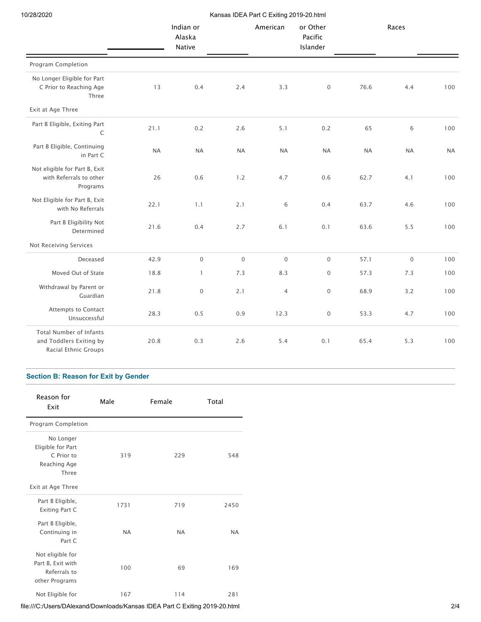10/28/2020 Kansas IDEA Part C Exiting 2019-20.html

|                                                                                   |           | ransas ibe, ti art o existig zo ib |             |                |                                 |           |             |           |
|-----------------------------------------------------------------------------------|-----------|------------------------------------|-------------|----------------|---------------------------------|-----------|-------------|-----------|
|                                                                                   |           | Indian or<br>Alaska<br>Native      |             | American       | or Other<br>Pacific<br>Islander |           | Races       |           |
| Program Completion                                                                |           |                                    |             |                |                                 |           |             |           |
| No Longer Eligible for Part<br>C Prior to Reaching Age<br>Three                   | 13        | 0.4                                | 2.4         | 3.3            | $\mathsf{O}\xspace$             | 76.6      | 4.4         | 100       |
| Exit at Age Three                                                                 |           |                                    |             |                |                                 |           |             |           |
| Part B Eligible, Exiting Part<br>$\mathsf C$                                      | 21.1      | 0.2                                | 2.6         | 5.1            | 0.2                             | 65        | 6           | 100       |
| Part B Eligible, Continuing<br>in Part C                                          | <b>NA</b> | <b>NA</b>                          | <b>NA</b>   | <b>NA</b>      | <b>NA</b>                       | <b>NA</b> | <b>NA</b>   | <b>NA</b> |
| Not eligible for Part B, Exit<br>with Referrals to other<br>Programs              | 26        | 0.6                                | 1.2         | 4.7            | 0.6                             | 62.7      | 4.1         | 100       |
| Not Eligible for Part B, Exit<br>with No Referrals                                | 22.1      | 1.1                                | 2.1         | 6              | 0.4                             | 63.7      | 4.6         | 100       |
| Part B Eligibility Not<br>Determined                                              | 21.6      | 0.4                                | 2.7         | 6.1            | 0.1                             | 63.6      | 5.5         | 100       |
| Not Receiving Services                                                            |           |                                    |             |                |                                 |           |             |           |
| Deceased                                                                          | 42.9      | $\mathbf 0$                        | $\mathbf 0$ | $\mathbf 0$    | $\mathsf{O}\xspace$             | 57.1      | $\mathbf 0$ | 100       |
| Moved Out of State                                                                | 18.8      | $\mathbf{1}$                       | 7.3         | 8.3            | $\mathbf 0$                     | 57.3      | 7.3         | 100       |
| Withdrawal by Parent or<br>Guardian                                               | 21.8      | $\mathbf 0$                        | 2.1         | $\overline{4}$ | $\mathbf 0$                     | 68.9      | 3.2         | 100       |
| Attempts to Contact<br>Unsuccessful                                               | 28.3      | 0.5                                | 0.9         | 12.3           | $\mathsf{O}\xspace$             | 53.3      | 4.7         | 100       |
| <b>Total Number of Infants</b><br>and Toddlers Exiting by<br>Racial Ethnic Groups | 20.8      | 0.3                                | 2.6         | 5.4            | 0.1                             | 65.4      | 5.3         | 100       |

# **Section B: Reason for Exit by Gender**

| Reason for<br>Exit                                                      | Male      | Female    | Total     |
|-------------------------------------------------------------------------|-----------|-----------|-----------|
| Program Completion                                                      |           |           |           |
| No Longer<br>Eligible for Part<br>C Prior to<br>Reaching Age<br>Three   | 319       | 229       | 548       |
| Exit at Age Three                                                       |           |           |           |
| Part B Eligible,<br>Exiting Part C                                      | 1731      | 719       | 2450      |
| Part B Eligible,<br>Continuing in<br>Part C                             | <b>NA</b> | <b>NA</b> | <b>NA</b> |
| Not eligible for<br>Part B, Exit with<br>Referrals to<br>other Programs | 100       | 69        | 169       |
| Not Eligible for                                                        | 167       | 114       | 281       |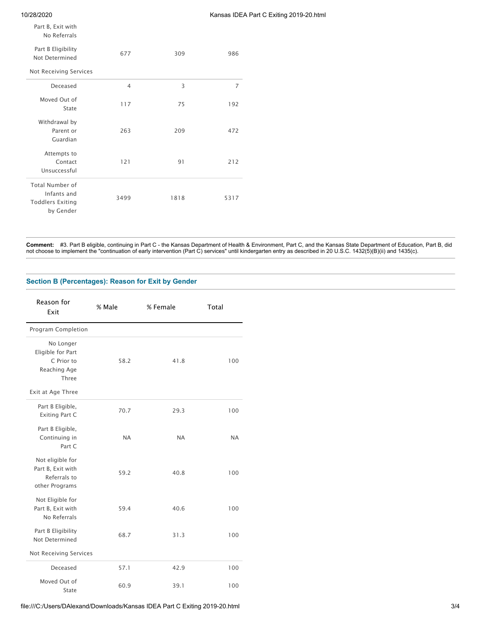10/28/2020 Kansas IDEA Part C Exiting 2019-20.html

Part B, Exit with No Referrals

| Part B Eligibility<br>Not Determined                                          | 677            | 309  | 986  |
|-------------------------------------------------------------------------------|----------------|------|------|
| Not Receiving Services                                                        |                |      |      |
| Deceased                                                                      | $\overline{4}$ | 3    | 7    |
| Moved Out of<br>State                                                         | 117            | 75   | 192  |
| Withdrawal by<br>Parent or<br>Guardian                                        | 263            | 209  | 472  |
| Attempts to<br>Contact<br>Unsuccessful                                        | 121            | 91   | 212  |
| <b>Total Number of</b><br>Infants and<br><b>Toddlers Exiting</b><br>by Gender | 3499           | 1818 | 5317 |

**Comment:** #3. Part B eligible, continuing in Part C - the Kansas Department of Health & Environment, Part C, and the Kansas State Department of Education, Part B, did not choose to implement the "continuation of early intervention (Part C) services" until kindergarten entry as described in 20 U.S.C. 1432(5)(B)(ii) and 1435(c).

## **Section B (Percentages): Reason for Exit by Gender**

| Reason for<br>Exit                                                      | % Male    | % Female  | Total     |
|-------------------------------------------------------------------------|-----------|-----------|-----------|
| Program Completion                                                      |           |           |           |
| No Longer<br>Eligible for Part<br>C Prior to<br>Reaching Age<br>Three   | 58.2      | 41.8      | 100       |
| Exit at Age Three                                                       |           |           |           |
| Part B Eligible,<br><b>Exiting Part C</b>                               | 70.7      | 29.3      | 100       |
| Part B Eligible,<br>Continuing in<br>Part C                             | <b>NA</b> | <b>NA</b> | <b>NA</b> |
| Not eligible for<br>Part B, Exit with<br>Referrals to<br>other Programs | 59.2      | 40.8      | 100       |
| Not Eligible for<br>Part B, Exit with<br>No Referrals                   | 59.4      | 40.6      | 100       |
| Part B Eligibility<br>Not Determined                                    | 68.7      | 31.3      | 100       |
| Not Receiving Services                                                  |           |           |           |
| Deceased                                                                | 57.1      | 42.9      | 100       |
| Moved Out of<br>State                                                   | 60.9      | 39.1      | 100       |